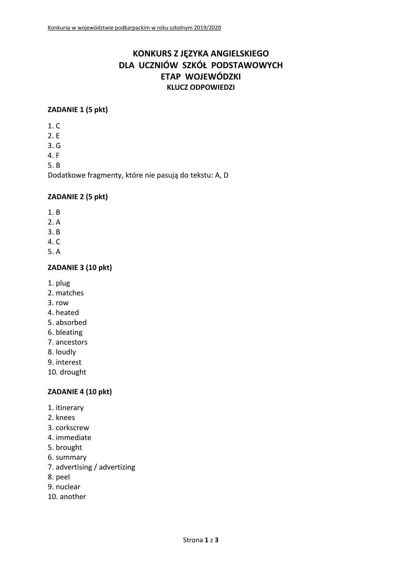# **KONKURS Z JĘZYKA ANGIELSKIEGO DLA UCZNIÓW SZKÓŁ PODSTAWOWYCH ETAP WOJEWÓDZKI KLUCZ ODPOWIEDZI**

#### **ZADANIE 1 (5 pkt)**

- 1. C
- 2. E
- 3. G
- 4. F

5. B

Dodatkowe fragmenty, które nie pasują do tekstu: A, D

#### **ZADANIE 2 (5 pkt)**

- 1. B
- 2. A
- 3. B
- 4. C
- 5. A

# **ZADANIE 3 (10 pkt)**

- 1. plug
- 2. matches
- 3. row
- 4. heated
- 5. absorbed
- 6. bleating
- 7. ancestors
- 8. loudly
- 9. interest
- 10. drought

# **ZADANIE 4 (10 pkt)**

- 1. itinerary
- 2. knees
- 3. corkscrew
- 4. immediate
- 5. brought
- 6. summary
- 7. advertising / advertizing
- 8. peel
- 9. nuclear
- 10. another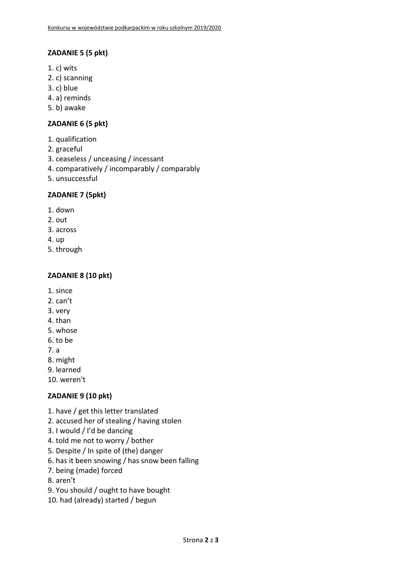## **ZADANIE 5 (5 pkt)**

- 1. c) wits
- 2. c) scanning
- 3. c) blue
- 4. a) reminds
- 5. b) awake

## **ZADANIE 6 (5 pkt)**

- 1. qualification
- 2. graceful
- 3. ceaseless / unceasing / incessant
- 4. comparatively / incomparably / comparably
- 5. unsuccessful

#### **ZADANIE 7 (5pkt)**

- 1. down
- 2. out
- 3. across
- 4. up
- 5. through

#### **ZADANIE 8 (10 pkt)**

- 1. since
- 2. can't
- 3. very
- 4. than
- 5. whose
- 6. to be
- 7. a
- 8. might
- 9. learned
- 10. weren't

# **ZADANIE 9 (10 pkt)**

- 1. have / get this letter translated
- 2. accused her of stealing / having stolen
- 3. I would / I'd be dancing
- 4. told me not to worry / bother
- 5. Despite / In spite of (the) danger
- 6. has it been snowing / has snow been falling
- 7. being (made) forced
- 8. aren't
- 9. You should / ought to have bought
- 10. had (already) started / begun